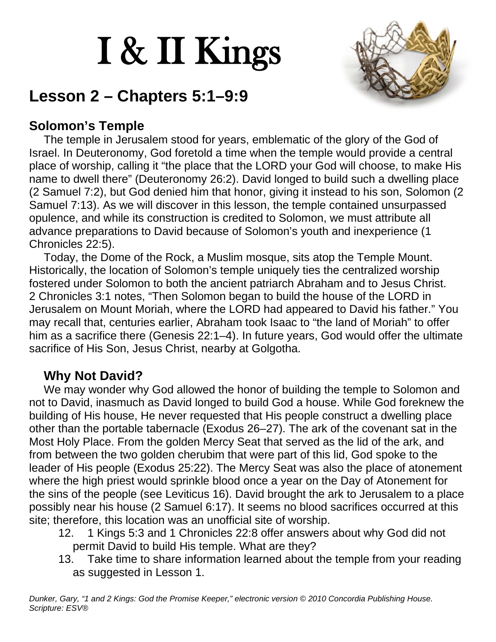# I & II Kings



# **Lesson 2 – Chapters 5:1–9:9**

# **Solomon's Temple**

The temple in Jerusalem stood for years, emblematic of the glory of the God of Israel. In Deuteronomy, God foretold a time when the temple would provide a central place of worship, calling it "the place that the LORD your God will choose, to make His name to dwell there" (Deuteronomy 26:2). David longed to build such a dwelling place (2 Samuel 7:2), but God denied him that honor, giving it instead to his son, Solomon (2 Samuel 7:13). As we will discover in this lesson, the temple contained unsurpassed opulence, and while its construction is credited to Solomon, we must attribute all advance preparations to David because of Solomon's youth and inexperience (1 Chronicles 22:5).

Today, the Dome of the Rock, a Muslim mosque, sits atop the Temple Mount. Historically, the location of Solomon's temple uniquely ties the centralized worship fostered under Solomon to both the ancient patriarch Abraham and to Jesus Christ. 2 Chronicles 3:1 notes, "Then Solomon began to build the house of the LORD in Jerusalem on Mount Moriah, where the LORD had appeared to David his father." You may recall that, centuries earlier, Abraham took Isaac to "the land of Moriah" to offer him as a sacrifice there (Genesis 22:1–4). In future years, God would offer the ultimate sacrifice of His Son, Jesus Christ, nearby at Golgotha.

### **Why Not David?**

We may wonder why God allowed the honor of building the temple to Solomon and not to David, inasmuch as David longed to build God a house. While God foreknew the building of His house, He never requested that His people construct a dwelling place other than the portable tabernacle (Exodus 26–27). The ark of the covenant sat in the Most Holy Place. From the golden Mercy Seat that served as the lid of the ark, and from between the two golden cherubim that were part of this lid, God spoke to the leader of His people (Exodus 25:22). The Mercy Seat was also the place of atonement where the high priest would sprinkle blood once a year on the Day of Atonement for the sins of the people (see Leviticus 16). David brought the ark to Jerusalem to a place possibly near his house (2 Samuel 6:17). It seems no blood sacrifices occurred at this site; therefore, this location was an unofficial site of worship.

- 12. 1 Kings 5:3 and 1 Chronicles 22:8 offer answers about why God did not permit David to build His temple. What are they?
- 13. Take time to share information learned about the temple from your reading as suggested in Lesson 1.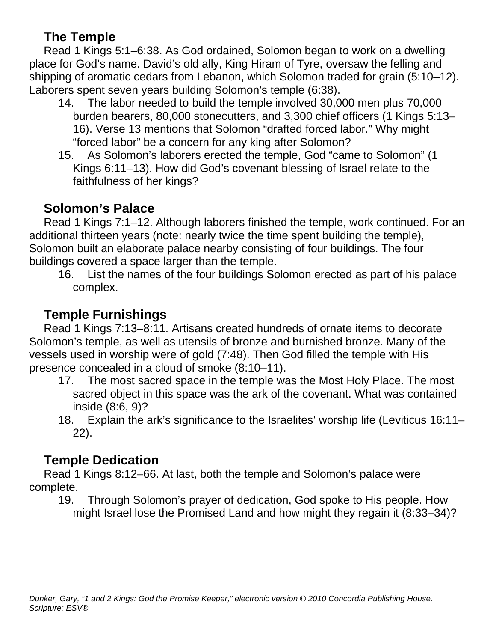#### **The Temple**

Read 1 Kings 5:1–6:38. As God ordained, Solomon began to work on a dwelling place for God's name. David's old ally, King Hiram of Tyre, oversaw the felling and shipping of aromatic cedars from Lebanon, which Solomon traded for grain (5:10–12). Laborers spent seven years building Solomon's temple (6:38).

- 14. The labor needed to build the temple involved 30,000 men plus 70,000 burden bearers, 80,000 stonecutters, and 3,300 chief officers (1 Kings 5:13– 16). Verse 13 mentions that Solomon "drafted forced labor." Why might "forced labor" be a concern for any king after Solomon?
- 15. As Solomon's laborers erected the temple, God "came to Solomon" (1 Kings 6:11–13). How did God's covenant blessing of Israel relate to the faithfulness of her kings?

# **Solomon's Palace**

Read 1 Kings 7:1–12. Although laborers finished the temple, work continued. For an additional thirteen years (note: nearly twice the time spent building the temple), Solomon built an elaborate palace nearby consisting of four buildings. The four buildings covered a space larger than the temple.

16. List the names of the four buildings Solomon erected as part of his palace complex.

# **Temple Furnishings**

Read 1 Kings 7:13–8:11. Artisans created hundreds of ornate items to decorate Solomon's temple, as well as utensils of bronze and burnished bronze. Many of the vessels used in worship were of gold (7:48). Then God filled the temple with His presence concealed in a cloud of smoke (8:10–11).

- 17. The most sacred space in the temple was the Most Holy Place. The most sacred object in this space was the ark of the covenant. What was contained inside (8:6, 9)?
- 18. Explain the ark's significance to the Israelites' worship life (Leviticus 16:11– 22).

# **Temple Dedication**

Read 1 Kings 8:12–66. At last, both the temple and Solomon's palace were complete.

19. Through Solomon's prayer of dedication, God spoke to His people. How might Israel lose the Promised Land and how might they regain it (8:33–34)?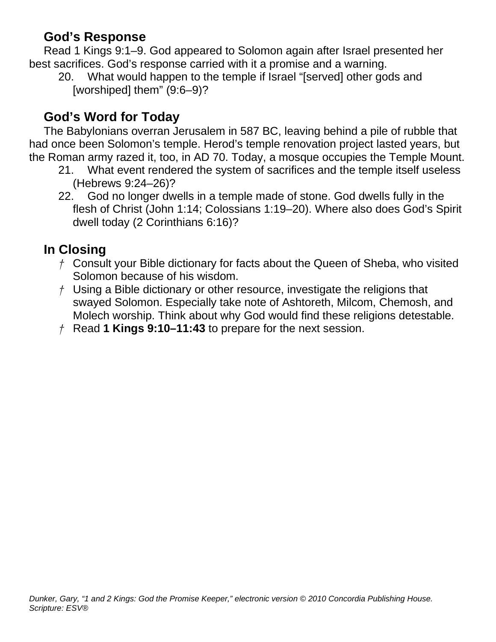#### **God's Response**

Read 1 Kings 9:1–9. God appeared to Solomon again after Israel presented her best sacrifices. God's response carried with it a promise and a warning.

20. What would happen to the temple if Israel "[served] other gods and [worshiped] them" (9:6–9)?

### **God's Word for Today**

The Babylonians overran Jerusalem in 587 BC, leaving behind a pile of rubble that had once been Solomon's temple. Herod's temple renovation project lasted years, but the Roman army razed it, too, in AD 70. Today, a mosque occupies the Temple Mount.

- 21. What event rendered the system of sacrifices and the temple itself useless (Hebrews 9:24–26)?
- 22. God no longer dwells in a temple made of stone. God dwells fully in the flesh of Christ (John 1:14; Colossians 1:19–20). Where also does God's Spirit dwell today (2 Corinthians 6:16)?

### **In Closing**

- *†* Consult your Bible dictionary for facts about the Queen of Sheba, who visited Solomon because of his wisdom.
- *†* Using a Bible dictionary or other resource, investigate the religions that swayed Solomon. Especially take note of Ashtoreth, Milcom, Chemosh, and Molech worship. Think about why God would find these religions detestable.
- *†* Read **1 Kings 9:10–11:43** to prepare for the next session.